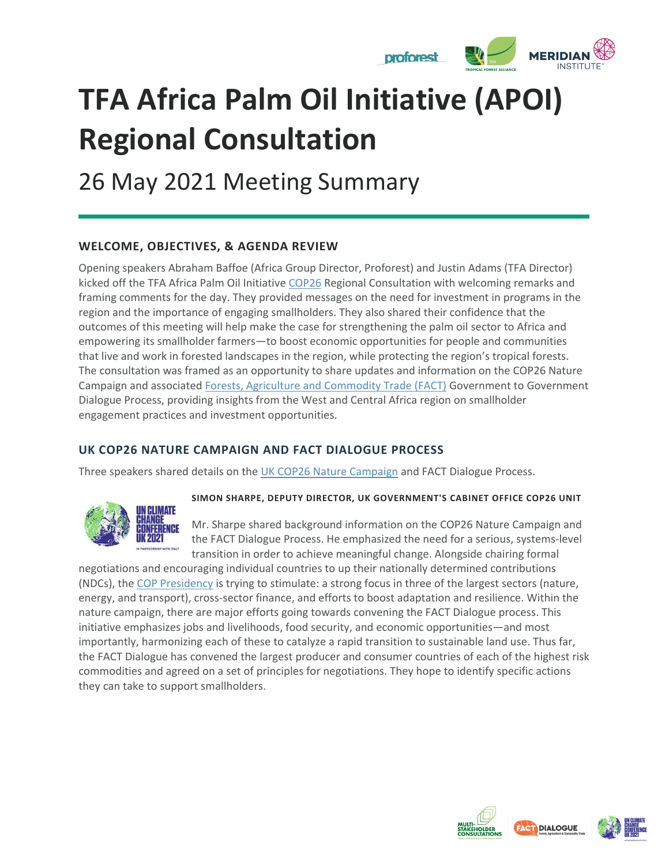

# **TFA Africa Palm Oil Initiative (APOI) Regional Consultation**

26 May 2021 Meeting Summary

# **WELCOME, OBJECTIVES, & AGENDA REVIEW**

Opening speakers Abraham Baffoe (Africa Group Director, Proforest) and Justin Adams (TFA Director) kicked off the TFA Africa Palm Oil Initiative [COP26](https://ukcop26.org/) Regional Consultation with welcoming remarks and framing comments for the day. They provided messages on the need for investment in programs in the region and the importance of engaging smallholders. They also shared their confidence that the outcomes of this meeting will help make the case for strengthening the palm oil sector to Africa and empowering its smallholder farmers—to boost economic opportunities for people and communities that live and work in forested landscapes in the region, while protecting the region's tropical forests. The consultation was framed as an opportunity to share updates and information on the COP26 Nature Campaign and associated [Forests, Agriculture and Commodity Trade \(FACT\)](https://www.tropicalforestalliance.org/en/collective-action-agenda/cop26) Government to Government Dialogue Process, providing insights from the West and Central Africa region on smallholder engagement practices and investment opportunities.

# **UK COP26 NATURE CAMPAIGN AND FACT DIALOGUE PROCESS**

Three speakers shared details on the [UK COP26 Nature Campaign](https://justruraltransition.org/cop26-nature-campaign/) and FACT Dialogue Process.



### **SIMON SHARPE, DEPUTY DIRECTOR, UK GOVERNMENT'S CABINET OFFICE COP26 UNIT**

Mr. Sharpe shared background information on the COP26 Nature Campaign and the FACT Dialogue Process. He emphasized the need for a serious, systems-level transition in order to achieve meaningful change. Alongside chairing formal

negotiations and encouraging individual countries to up their nationally determined contributions (NDCs), the [COP Presidency](https://ukcop26.org/uk-presidency/) is trying to stimulate: a strong focus in three of the largest sectors (nature, energy, and transport), cross-sector finance, and efforts to boost adaptation and resilience. Within the nature campaign, there are major efforts going towards convening the FACT Dialogue process. This initiative emphasizes jobs and livelihoods, food security, and economic opportunities—and most importantly, harmonizing each of these to catalyze a rapid transition to sustainable land use. Thus far, the FACT Dialogue has convened the largest producer and consumer countries of each of the highest risk commodities and agreed on a set of principles for negotiations. They hope to identify specific actions they can take to support smallholders.





**DIALOGUE**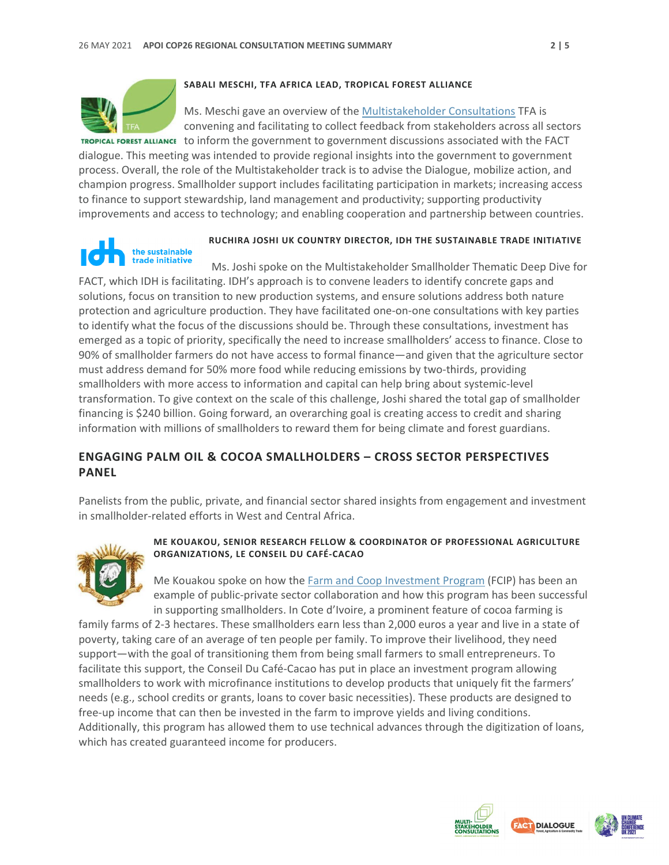

#### **SABALI MESCHI, TFA AFRICA LEAD, TROPICAL FOREST ALLIANCE**

Ms. Meschi gave an overview of the [Multistakeholder Consultations](https://www.tropicalforestalliance.org/en/collective-action-agenda/cop26/about) TFA is convening and facilitating to collect feedback from stakeholders across all sectors

TROPICAL FOREST ALLIANCE to inform the government to government discussions associated with the FACT dialogue. This meeting was intended to provide regional insights into the government to government process. Overall, the role of the Multistakeholder track is to advise the Dialogue, mobilize action, and champion progress. Smallholder support includes facilitating participation in markets; increasing access to finance to support stewardship, land management and productivity; supporting productivity improvements and access to technology; and enabling cooperation and partnership between countries.

# the sustainable trade initiative

# **RUCHIRA JOSHI UK COUNTRY DIRECTOR, IDH THE SUSTAINABLE TRADE INITIATIVE**

Ms. Joshi spoke on the Multistakeholder Smallholder Thematic Deep Dive for FACT, which IDH is facilitating. IDH's approach is to convene leaders to identify concrete gaps and solutions, focus on transition to new production systems, and ensure solutions address both nature protection and agriculture production. They have facilitated one-on-one consultations with key parties to identify what the focus of the discussions should be. Through these consultations, investment has emerged as a topic of priority, specifically the need to increase smallholders' access to finance. Close to 90% of smallholder farmers do not have access to formal finance—and given that the agriculture sector must address demand for 50% more food while reducing emissions by two-thirds, providing smallholders with more access to information and capital can help bring about systemic-level transformation. To give context on the scale of this challenge, Joshi shared the total gap of smallholder financing is \$240 billion. Going forward, an overarching goal is creating access to credit and sharing information with millions of smallholders to reward them for being climate and forest guardians.

## **ENGAGING PALM OIL & COCOA SMALLHOLDERS – CROSS SECTOR PERSPECTIVES PANEL**

Panelists from the public, private, and financial sector shared insights from engagement and investment in smallholder-related efforts in West and Central Africa.



#### **ME KOUAKOU, SENIOR RESEARCH FELLOW & COORDINATOR OF PROFESSIONAL AGRICULTURE ORGANIZATIONS, LE CONSEIL DU CAFÉ-CACAO**

Me Kouakou spoke on how the [Farm and Coop Investment Program](https://www.idhsustainabletrade.com/initiative/farm-cooperative-investment-program/) (FCIP) has been an example of public-private sector collaboration and how this program has been successful in supporting smallholders. In Cote d'Ivoire, a prominent feature of cocoa farming is

family farms of 2-3 hectares. These smallholders earn less than 2,000 euros a year and live in a state of poverty, taking care of an average of ten people per family. To improve their livelihood, they need support—with the goal of transitioning them from being small farmers to small entrepreneurs. To facilitate this support, the Conseil Du Café-Cacao has put in place an investment program allowing smallholders to work with microfinance institutions to develop products that uniquely fit the farmers' needs (e.g., school credits or grants, loans to cover basic necessities). These products are designed to free-up income that can then be invested in the farm to improve yields and living conditions. Additionally, this program has allowed them to use technical advances through the digitization of loans, which has created guaranteed income for producers.



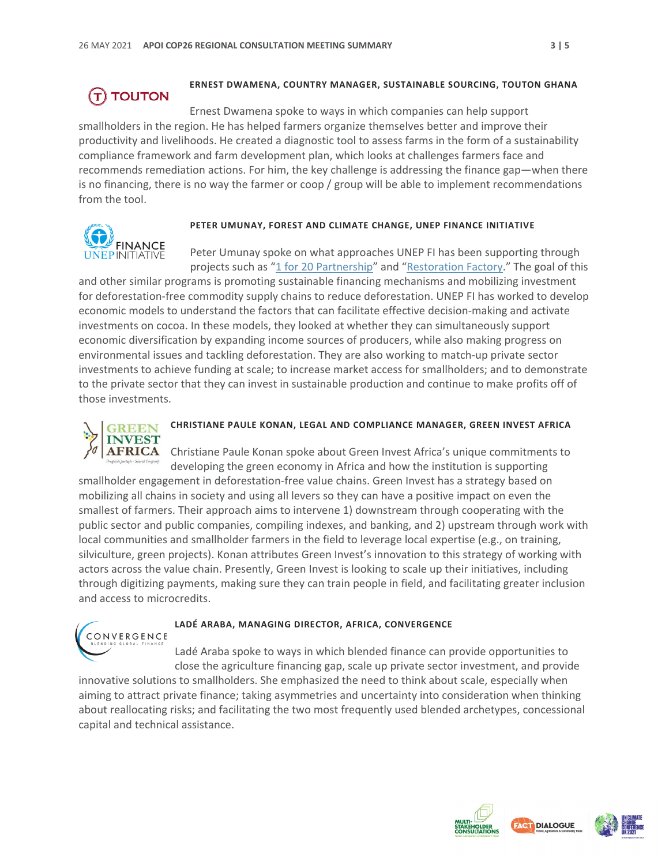# **TOUTON**

#### **ERNEST DWAMENA, COUNTRY MANAGER, SUSTAINABLE SOURCING, TOUTON GHANA**

Ernest Dwamena spoke to ways in which companies can help support smallholders in the region. He has helped farmers organize themselves better and improve their productivity and livelihoods. He created a diagnostic tool to assess farms in the form of a sustainability compliance framework and farm development plan, which looks at challenges farmers face and recommends remediation actions. For him, the key challenge is addressing the finance gap—when there is no financing, there is no way the farmer or coop / group will be able to implement recommendations from the tool.



#### **PETER UMUNAY, FOREST AND CLIMATE CHANGE, UNEP FINANCE INITIATIVE**

Peter Umunay spoke on what approaches UNEP FI has been supporting through projects such as ["1 for 20 Partnership"](https://www.euredd.efi.int/publications/1-for-20-partnership) and ["Restoration Factory.](https://programs.bridgeforbillions.org/restoration-factory-program/)" The goal of this

and other similar programs is promoting sustainable financing mechanisms and mobilizing investment for deforestation-free commodity supply chains to reduce deforestation. UNEP FI has worked to develop economic models to understand the factors that can facilitate effective decision-making and activate investments on cocoa. In these models, they looked at whether they can simultaneously support economic diversification by expanding income sources of producers, while also making progress on environmental issues and tackling deforestation. They are also working to match-up private sector investments to achieve funding at scale; to increase market access for smallholders; and to demonstrate to the private sector that they can invest in sustainable production and continue to make profits off of those investments.



# **CHRISTIANE PAULE KONAN, LEGAL AND COMPLIANCE MANAGER, GREEN INVEST AFRICA**

Christiane Paule Konan spoke about Green Invest Africa's unique commitments to developing the green economy in Africa and how the institution is supporting

smallholder engagement in deforestation-free value chains. Green Invest has a strategy based on mobilizing all chains in society and using all levers so they can have a positive impact on even the smallest of farmers. Their approach aims to intervene 1) downstream through cooperating with the public sector and public companies, compiling indexes, and banking, and 2) upstream through work with local communities and smallholder farmers in the field to leverage local expertise (e.g., on training, silviculture, green projects). Konan attributes Green Invest's innovation to this strategy of working with actors across the value chain. Presently, Green Invest is looking to scale up their initiatives, including through digitizing payments, making sure they can train people in field, and facilitating greater inclusion and access to microcredits.



#### **LADÉ ARABA, MANAGING DIRECTOR, AFRICA, CONVERGENCE**

Ladé Araba spoke to ways in which blended finance can provide opportunities to close the agriculture financing gap, scale up private sector investment, and provide

innovative solutions to smallholders. She emphasized the need to think about scale, especially when aiming to attract private finance; taking asymmetries and uncertainty into consideration when thinking about reallocating risks; and facilitating the two most frequently used blended archetypes, concessional capital and technical assistance.



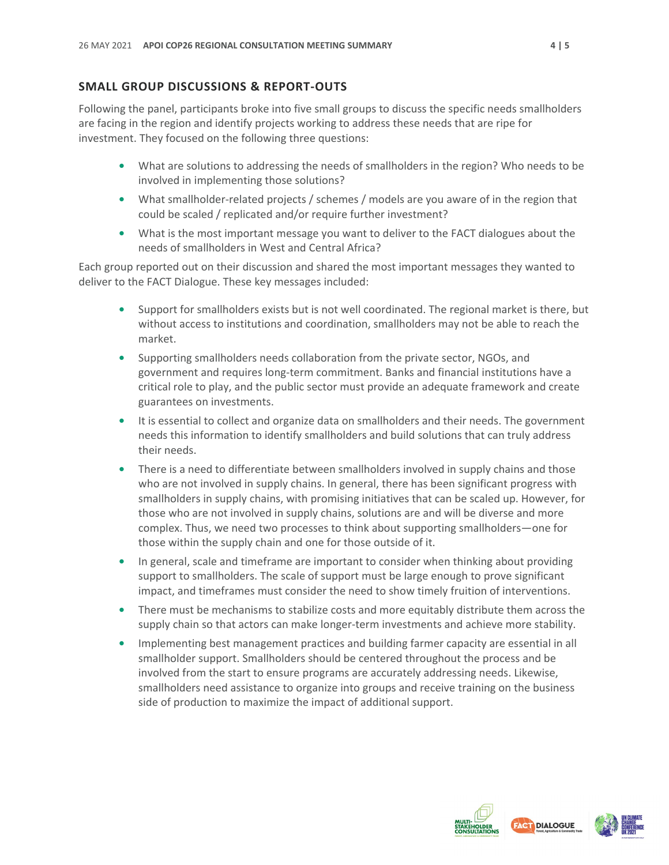# **SMALL GROUP DISCUSSIONS & REPORT-OUTS**

Following the panel, participants broke into five small groups to discuss the specific needs smallholders are facing in the region and identify projects working to address these needs that are ripe for investment. They focused on the following three questions:

- **•** What are solutions to addressing the needs of smallholders in the region? Who needs to be involved in implementing those solutions?
- **•** What smallholder-related projects / schemes / models are you aware of in the region that could be scaled / replicated and/or require further investment?
- **•** What is the most important message you want to deliver to the FACT dialogues about the needs of smallholders in West and Central Africa?

Each group reported out on their discussion and shared the most important messages they wanted to deliver to the FACT Dialogue. These key messages included:

- **•** Support for smallholders exists but is not well coordinated. The regional market is there, but without access to institutions and coordination, smallholders may not be able to reach the market.
- **•** Supporting smallholders needs collaboration from the private sector, NGOs, and government and requires long-term commitment. Banks and financial institutions have a critical role to play, and the public sector must provide an adequate framework and create guarantees on investments.
- **•** It is essential to collect and organize data on smallholders and their needs. The government needs this information to identify smallholders and build solutions that can truly address their needs.
- **•** There is a need to differentiate between smallholders involved in supply chains and those who are not involved in supply chains. In general, there has been significant progress with smallholders in supply chains, with promising initiatives that can be scaled up. However, for those who are not involved in supply chains, solutions are and will be diverse and more complex. Thus, we need two processes to think about supporting smallholders—one for those within the supply chain and one for those outside of it.
- **•** In general, scale and timeframe are important to consider when thinking about providing support to smallholders. The scale of support must be large enough to prove significant impact, and timeframes must consider the need to show timely fruition of interventions.
- **•** There must be mechanisms to stabilize costs and more equitably distribute them across the supply chain so that actors can make longer-term investments and achieve more stability.
- **•** Implementing best management practices and building farmer capacity are essential in all smallholder support. Smallholders should be centered throughout the process and be involved from the start to ensure programs are accurately addressing needs. Likewise, smallholders need assistance to organize into groups and receive training on the business side of production to maximize the impact of additional support.